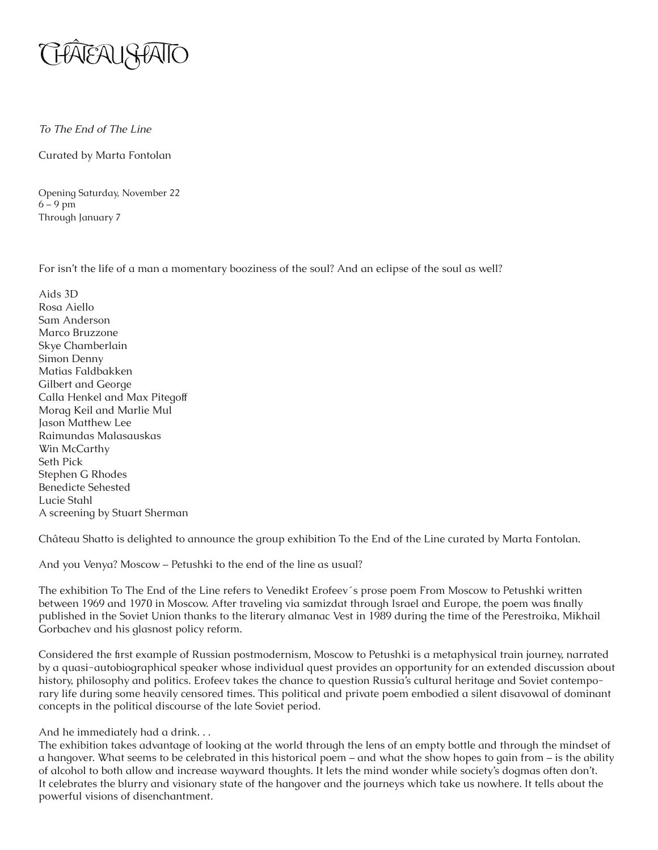

## *To The End of The Line*

Curated by Marta Fontolan

Opening Saturday, November 22  $6 - 9$  pm Through January 7

For isn't the life of a man a momentary booziness of the soul? And an eclipse of the soul as well?

Aids 3D Rosa Aiello Sam Anderson Marco Bruzzone Skye Chamberlain Simon Denny Matias Faldbakken Gilbert and George Calla Henkel and Max Pitegoff Morag Keil and Marlie Mul Jason Matthew Lee Raimundas Malasauskas Win McCarthy Seth Pick Stephen G Rhodes Benedicte Sehested Lucie Stahl A screening by Stuart Sherman

Château Shatto is delighted to announce the group exhibition To the End of the Line curated by Marta Fontolan.

And you Venya? Moscow – Petushki to the end of the line as usual?

The exhibition To The End of the Line refers to Venedikt Erofeev´s prose poem From Moscow to Petushki written between 1969 and 1970 in Moscow. After traveling via samizdat through Israel and Europe, the poem was finally published in the Soviet Union thanks to the literary almanac Vest in 1989 during the time of the Perestroika, Mikhail Gorbachev and his glasnost policy reform.

Considered the first example of Russian postmodernism, Moscow to Petushki is a metaphysical train journey, narrated by a quasi-autobiographical speaker whose individual quest provides an opportunity for an extended discussion about history, philosophy and politics. Erofeev takes the chance to question Russia's cultural heritage and Soviet contemporary life during some heavily censored times. This political and private poem embodied a silent disavowal of dominant concepts in the political discourse of the late Soviet period.

And he immediately had a drink. . .

The exhibition takes advantage of looking at the world through the lens of an empty bottle and through the mindset of a hangover. What seems to be celebrated in this historical poem – and what the show hopes to gain from – is the ability of alcohol to both allow and increase wayward thoughts. It lets the mind wonder while society's dogmas often don't. It celebrates the blurry and visionary state of the hangover and the journeys which take us nowhere. It tells about the powerful visions of disenchantment.